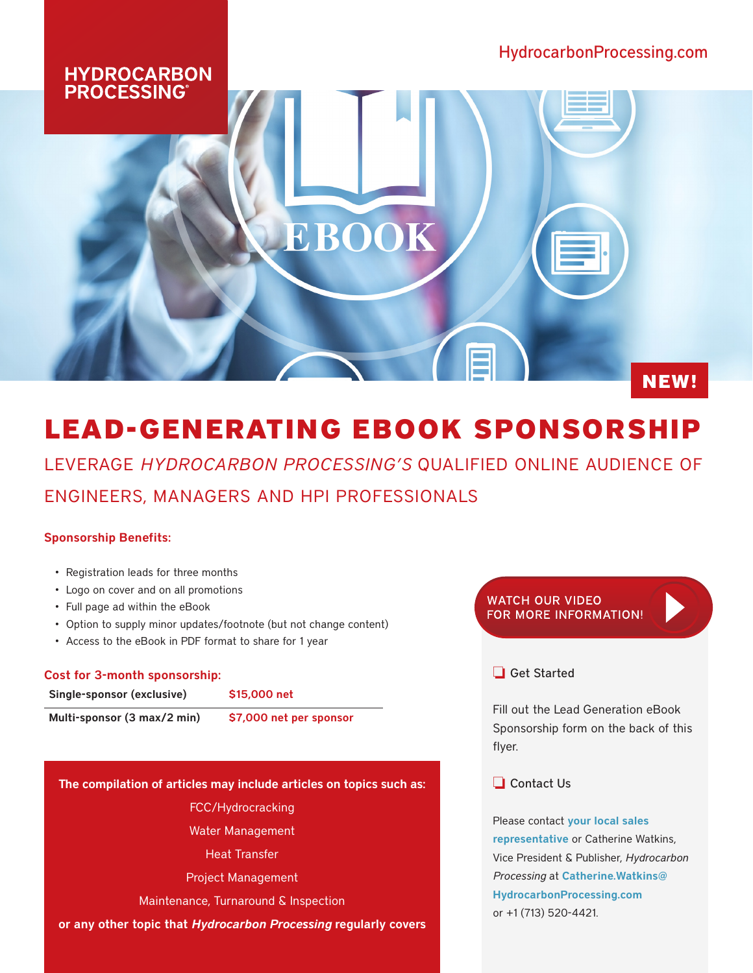HydrocarbonProcessing.com



# NEW!

# LEAD-GENERATING EBOOK SPONSORSHIP

EBOOK

LEVERAGE *HYDROCARBON PROCESSING'S* QUALIFIED ONLINE AUDIENCE OF ENGINEERS, MANAGERS AND HPI PROFESSIONALS

# Sponsorship Benefits:

- Registration leads for three months
- Logo on cover and on all promotions
- Full page ad within the eBook
- Option to supply minor updates/footnote (but not change content)
- Access to the eBook in PDF format to share for 1 year

#### Cost for 3-month sponsorship:

| Single-sponsor (exclusive)  | \$15,000 net            |
|-----------------------------|-------------------------|
| Multi-sponsor (3 max/2 min) | \$7,000 net per sponsor |

The compilation of articles may include articles on topics such as:

FCC/Hydrocracking

Water Management

- Heat Transfer
- Project Management

Maintenance, Turnaround & Inspection

or any other topic that *Hydrocarbon Processing* regularly covers

#### **WATCH OUR VIDEO** FOR MORE INFORMATION!

## $\Box$  Get Started

Fill out the Lead Generation eBook Sponsorship form on the back of this flyer.

## $\Box$  Contact Us

Please contact [your local sales](mailto:Info%40HydrocarbonProcessing.com?subject=HP%20eBook%20Sponsorship)  [representative](mailto:Info%40HydrocarbonProcessing.com?subject=HP%20eBook%20Sponsorship) or Catherine Watkins, Vice President & Publisher, *Hydrocarbon Processing* at [Catherine.Watkins@](mailto:Catherine.Watkins%40HydrocarbonProcessing.com%20?subject=HP%20eBook%20Sponsorship) [HydrocarbonProcessing.com](mailto:Catherine.Watkins%40HydrocarbonProcessing.com%20?subject=HP%20eBook%20Sponsorship)  or +1 (713) 520-4421.